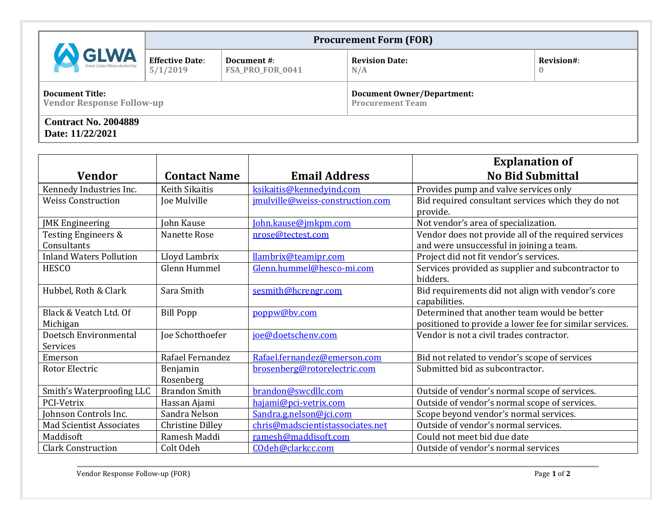| <b>GLWA</b><br>Great Lakes Water Authority                 | <b>Procurement Form (FOR)</b>      |                                 |                                                              |                            |  |
|------------------------------------------------------------|------------------------------------|---------------------------------|--------------------------------------------------------------|----------------------------|--|
|                                                            | <b>Effective Date:</b><br>5/1/2019 | Document #:<br>FSA_PRO_FOR_0041 | <b>Revision Date:</b><br>N/A                                 | Revision#:<br>$\mathbf{0}$ |  |
| <b>Document Title:</b><br><b>Vendor Response Follow-up</b> |                                    |                                 | <b>Document Owner/Department:</b><br><b>Procurement Team</b> |                            |  |
| <b>Contract No. 2004889</b><br>Date: 11/22/2021            |                                    |                                 |                                                              |                            |  |

| <b>Vendor</b>                                 | <b>Contact Name</b>     | <b>Email Address</b>             | <b>Explanation of</b><br><b>No Bid Submittal</b>                                                        |
|-----------------------------------------------|-------------------------|----------------------------------|---------------------------------------------------------------------------------------------------------|
| Kennedy Industries Inc.                       | Keith Sikaitis          | ksikaitis@kennedyind.com         | Provides pump and valve services only                                                                   |
| <b>Weiss Construction</b>                     | Joe Mulville            | jmulville@weiss-construction.com | Bid required consultant services which they do not<br>provide.                                          |
| <b>JMK</b> Engineering                        | John Kause              | John.kause@jmkpm.com             | Not vendor's area of specialization.                                                                    |
| <b>Testing Engineers &amp;</b><br>Consultants | Nanette Rose            | nrose@tectest.com                | Vendor does not provide all of the required services<br>and were unsuccessful in joining a team.        |
| <b>Inland Waters Pollution</b>                | Lloyd Lambrix           | llambrix@teamipr.com             | Project did not fit vendor's services.                                                                  |
| <b>HESCO</b>                                  | Glenn Hummel            | Glenn.hummel@hesco-mi.com        | Services provided as supplier and subcontractor to<br>bidders.                                          |
| Hubbel, Roth & Clark                          | Sara Smith              | sesmith@hcrengr.com              | Bid requirements did not align with vendor's core<br>capabilities.                                      |
| Black & Veatch Ltd. Of<br>Michigan            | <b>Bill Popp</b>        | poppw@by.com                     | Determined that another team would be better<br>positioned to provide a lower fee for similar services. |
| Doetsch Environmental<br>Services             | Joe Schotthoefer        | joe@doetschenv.com               | Vendor is not a civil trades contractor.                                                                |
| Emerson                                       | Rafael Fernandez        | Rafael.fernandez@emerson.com     | Bid not related to vendor's scope of services                                                           |
| Rotor Electric                                | Benjamin<br>Rosenberg   | brosenberg@rotorelectric.com     | Submitted bid as subcontractor.                                                                         |
| Smith's Waterproofing LLC                     | <b>Brandon Smith</b>    | brandon@swcdllc.com              | Outside of vendor's normal scope of services.                                                           |
| PCI-Vetrix                                    | Hassan Ajami            | hajami@pci-vetrix.com            | Outside of vendor's normal scope of services.                                                           |
| Johnson Controls Inc.                         | Sandra Nelson           | Sandra.g.nelson@jci.com          | Scope beyond vendor's normal services.                                                                  |
| <b>Mad Scientist Associates</b>               | <b>Christine Dilley</b> | chris@madscientistassociates.net | Outside of vendor's normal services.                                                                    |
| Maddisoft                                     | Ramesh Maddi            | ramesh@maddisoft.com             | Could not meet bid due date                                                                             |
| <b>Clark Construction</b>                     | Colt Odeh               | COdeh@clarkcc.com                | Outside of vendor's normal services                                                                     |